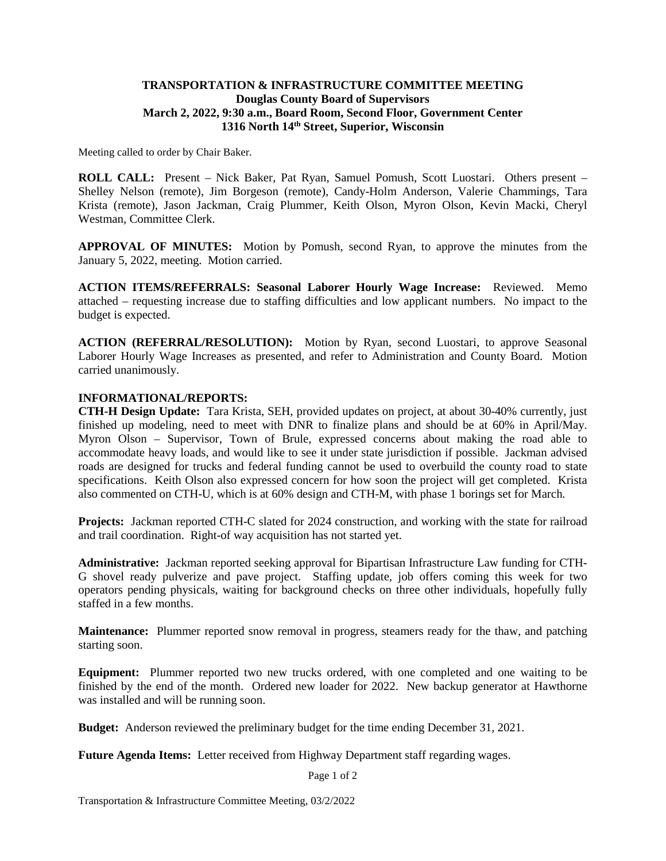## **TRANSPORTATION & INFRASTRUCTURE COMMITTEE MEETING Douglas County Board of Supervisors March 2, 2022, 9:30 a.m., Board Room, Second Floor, Government Center 1316 North 14th Street, Superior, Wisconsin**

Meeting called to order by Chair Baker.

**ROLL CALL:** Present – Nick Baker, Pat Ryan, Samuel Pomush, Scott Luostari. Others present – Shelley Nelson (remote), Jim Borgeson (remote), Candy-Holm Anderson, Valerie Chammings, Tara Krista (remote), Jason Jackman, Craig Plummer, Keith Olson, Myron Olson, Kevin Macki, Cheryl Westman, Committee Clerk.

**APPROVAL OF MINUTES:** Motion by Pomush, second Ryan, to approve the minutes from the January 5, 2022, meeting. Motion carried.

**ACTION ITEMS/REFERRALS: Seasonal Laborer Hourly Wage Increase:** Reviewed. Memo attached – requesting increase due to staffing difficulties and low applicant numbers. No impact to the budget is expected.

**ACTION (REFERRAL/RESOLUTION):** Motion by Ryan, second Luostari, to approve Seasonal Laborer Hourly Wage Increases as presented, and refer to Administration and County Board. Motion carried unanimously.

## **INFORMATIONAL/REPORTS:**

**CTH-H Design Update:** Tara Krista, SEH, provided updates on project, at about 30-40% currently, just finished up modeling, need to meet with DNR to finalize plans and should be at 60% in April/May. Myron Olson – Supervisor, Town of Brule, expressed concerns about making the road able to accommodate heavy loads, and would like to see it under state jurisdiction if possible. Jackman advised roads are designed for trucks and federal funding cannot be used to overbuild the county road to state specifications. Keith Olson also expressed concern for how soon the project will get completed. Krista also commented on CTH-U, which is at 60% design and CTH-M, with phase 1 borings set for March.

**Projects:** Jackman reported CTH-C slated for 2024 construction, and working with the state for railroad and trail coordination. Right-of way acquisition has not started yet.

**Administrative:** Jackman reported seeking approval for Bipartisan Infrastructure Law funding for CTH-G shovel ready pulverize and pave project. Staffing update, job offers coming this week for two operators pending physicals, waiting for background checks on three other individuals, hopefully fully staffed in a few months.

**Maintenance:** Plummer reported snow removal in progress, steamers ready for the thaw, and patching starting soon.

**Equipment:** Plummer reported two new trucks ordered, with one completed and one waiting to be finished by the end of the month. Ordered new loader for 2022. New backup generator at Hawthorne was installed and will be running soon.

**Budget:** Anderson reviewed the preliminary budget for the time ending December 31, 2021.

**Future Agenda Items:** Letter received from Highway Department staff regarding wages.

Page 1 of 2

Transportation & Infrastructure Committee Meeting, 03/2/2022